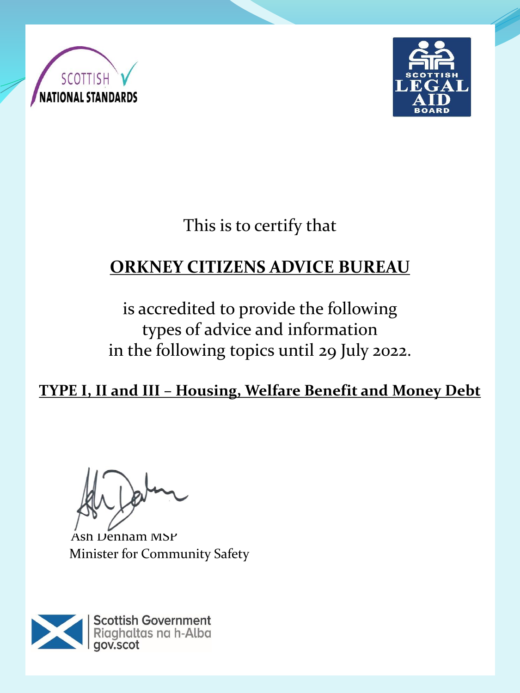



This is to certify that

# **ORKNEY CITIZENS ADVICE BUREAU**

is accredited to provide the following types of advice and information in the following topics until 29 July 2022.

**TYPE I, II and III – Housing, Welfare Benefit and Money Debt**

Ash Denham MSP Minister for Community Safety

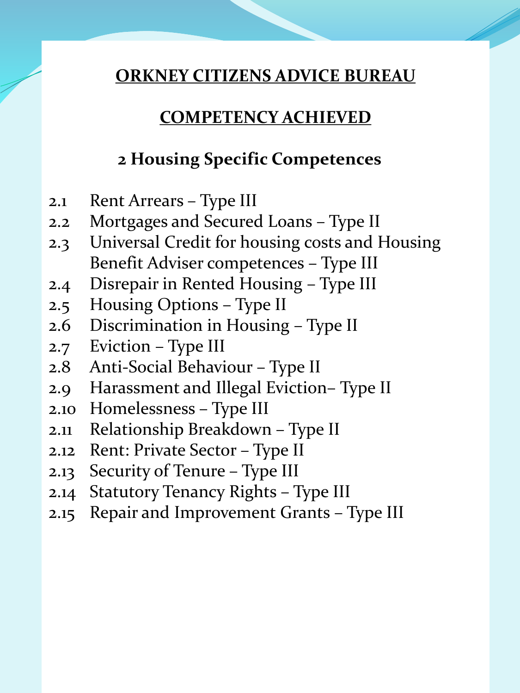### **COMPETENCY ACHIEVED**

## **2 Housing Specific Competences**

- 2.1 Rent Arrears Type III
- 2.2 Mortgages and Secured Loans Type II
- 2.3 Universal Credit for housing costs and Housing Benefit Adviser competences – Type III
- 2.4 Disrepair in Rented Housing Type III
- 2.5 Housing Options Type II
- 2.6 Discrimination in Housing Type II
- 2.7 Eviction Type III
- 2.8 Anti-Social Behaviour Type II
- 2.9 Harassment and Illegal Eviction– Type II
- 2.10 Homelessness Type III
- 2.11 Relationship Breakdown Type II
- 2.12 Rent: Private Sector Type II
- 2.13 Security of Tenure Type III
- 2.14 Statutory Tenancy Rights Type III
- 2.15 Repair and Improvement Grants Type III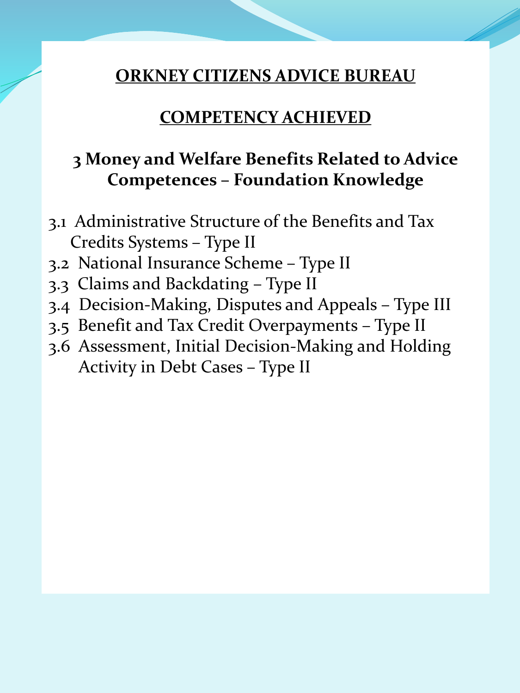#### **COMPETENCY ACHIEVED**

## **3 Money and Welfare Benefits Related to Advice Competences – Foundation Knowledge**

- 3.1 Administrative Structure of the Benefits and Tax Credits Systems – Type II
- 3.2 National Insurance Scheme Type II
- 3.3 Claims and Backdating Type II
- 3.4 Decision-Making, Disputes and Appeals Type III
- 3.5 Benefit and Tax Credit Overpayments Type II
- 3.6 Assessment, Initial Decision-Making and Holding Activity in Debt Cases – Type II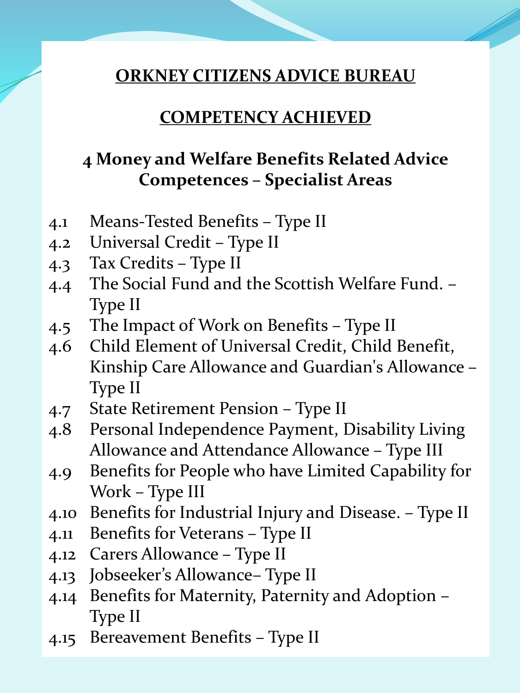#### **COMPETENCY ACHIEVED**

## **4 Money and Welfare Benefits Related Advice Competences – Specialist Areas**

- 4.1 Means-Tested Benefits Type II
- 4.2 Universal Credit Type II
- 4.3 Tax Credits Type II
- 4.4 The Social Fund and the Scottish Welfare Fund. Type II
- 4.5 The Impact of Work on Benefits Type II
- 4.6 Child Element of Universal Credit, Child Benefit, Kinship Care Allowance and Guardian's Allowance – Type II
- 4.7 State Retirement Pension Type II
- 4.8 Personal Independence Payment, Disability Living Allowance and Attendance Allowance – Type III
- 4.9 Benefits for People who have Limited Capability for Work – Type III
- 4.10 Benefits for Industrial Injury and Disease. Type II
- 4.11 Benefits for Veterans Type II
- 4.12 Carers Allowance Type II
- 4.13 Jobseeker's Allowance– Type II
- 4.14 Benefits for Maternity, Paternity and Adoption Type II
- 4.15 Bereavement Benefits Type II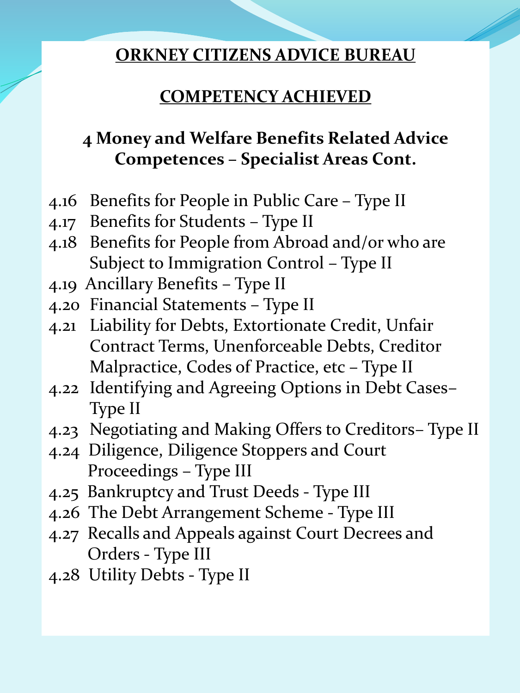## **COMPETENCY ACHIEVED**

# **4 Money and Welfare Benefits Related Advice Competences – Specialist Areas Cont.**

- 4.16 Benefits for People in Public Care Type II
- 4.17 Benefits for Students Type II
- 4.18 Benefits for People from Abroad and/or who are Subject to Immigration Control – Type II
- 4.19 Ancillary Benefits Type II
- 4.20 Financial Statements Type II
- 4.21 Liability for Debts, Extortionate Credit, Unfair Contract Terms, Unenforceable Debts, Creditor Malpractice, Codes of Practice, etc – Type II
- 4.22 Identifying and Agreeing Options in Debt Cases– Type II
- 4.23 Negotiating and Making Offers to Creditors– Type II
- 4.24 Diligence, Diligence Stoppers and Court Proceedings – Type III
- 4.25 Bankruptcy and Trust Deeds Type III
- 4.26 The Debt Arrangement Scheme Type III
- 4.27 Recalls and Appeals against Court Decrees and Orders - Type III
- 4.28 Utility Debts Type II